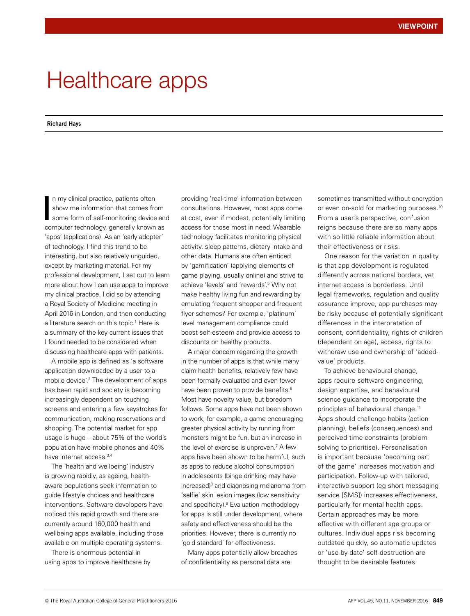## Healthcare apps

## **Richard Hays**

n my clinical practice, patients often show me information that comes from some form of self-monitoring device and computer technology, generally known as 'apps' (applications). As an 'early adopter' of technology, I find this trend to be interesting, but also relatively unguided, except by marketing material. For my professional development, I set out to learn more about how I can use apps to improve my clinical practice. I did so by attending a Royal Society of Medicine meeting in April 2016 in London, and then conducting a literature search on this topic.<sup>1</sup> Here is a summary of the key current issues that I found needed to be considered when discussing healthcare apps with patients. I

A mobile app is defined as 'a software application downloaded by a user to a mobile device'.<sup>2</sup> The development of apps has been rapid and society is becoming increasingly dependent on touching screens and entering a few keystrokes for communication, making reservations and shopping. The potential market for app usage is huge – about 75% of the world's population have mobile phones and 40% have internet access.3,4

The 'health and wellbeing' industry is growing rapidly, as ageing, healthaware populations seek information to guide lifestyle choices and healthcare interventions. Software developers have noticed this rapid growth and there are currently around 160,000 health and wellbeing apps available, including those available on multiple operating systems.

There is enormous potential in using apps to improve healthcare by providing 'real-time' information between consultations. However, most apps come at cost, even if modest, potentially limiting access for those most in need. Wearable technology facilitates monitoring physical activity, sleep patterns, dietary intake and other data. Humans are often enticed by 'gamification' (applying elements of game playing, usually online) and strive to achieve 'levels' and 'rewards'.<sup>5</sup> Why not make healthy living fun and rewarding by emulating frequent shopper and frequent flyer schemes? For example, 'platinum' level management compliance could boost self-esteem and provide access to discounts on healthy products.

A major concern regarding the growth in the number of apps is that while many claim health benefits, relatively few have been formally evaluated and even fewer have been proven to provide benefits.<sup>6</sup> Most have novelty value, but boredom follows. Some apps have not been shown to work; for example, a game encouraging greater physical activity by running from monsters might be fun, but an increase in the level of exercise is unproven.7 A few apps have been shown to be harmful, such as apps to reduce alcohol consumption in adolescents (binge drinking may have increased)<sup>8</sup> and diagnosing melanoma from 'selfie' skin lesion images (low sensitivity and specificity).<sup>9</sup> Evaluation methodology for apps is still under development, where safety and effectiveness should be the priorities. However, there is currently no 'gold standard' for effectiveness.

Many apps potentially allow breaches of confidentiality as personal data are

sometimes transmitted without encryption or even on-sold for marketing purposes.<sup>10</sup> From a user's perspective, confusion reigns because there are so many apps with so little reliable information about their effectiveness or risks.

One reason for the variation in quality is that app development is regulated differently across national borders, yet internet access is borderless. Until legal frameworks, regulation and quality assurance improve, app purchases may be risky because of potentially significant differences in the interpretation of consent, confidentiality, rights of children (dependent on age), access, rights to withdraw use and ownership of 'addedvalue' products.

To achieve behavioural change, apps require software engineering, design expertise, and behavioural science guidance to incorporate the principles of behavioural change.<sup>11</sup> Apps should challenge habits (action planning), beliefs (consequences) and perceived time constraints (problem solving to prioritise). Personalisation is important because 'becoming part of the game' increases motivation and participation. Follow-up with tailored, interactive support (eg short messaging service [SMS]) increases effectiveness, particularly for mental health apps. Certain approaches may be more effective with different age groups or cultures. Individual apps risk becoming outdated quickly, so automatic updates or 'use-by-date' self-destruction are thought to be desirable features.